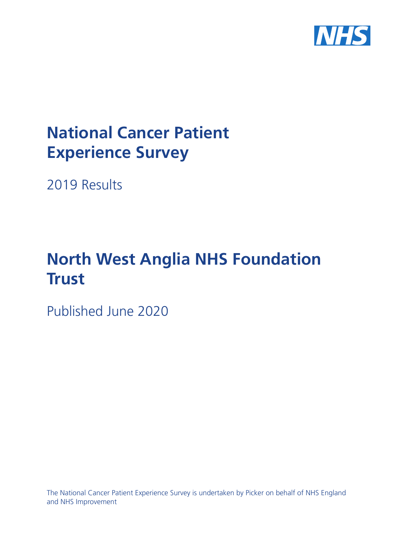

# **National Cancer Patient Experience Survey**

2019 Results

# **North West Anglia NHS Foundation Trust**

Published June 2020

The National Cancer Patient Experience Survey is undertaken by Picker on behalf of NHS England and NHS Improvement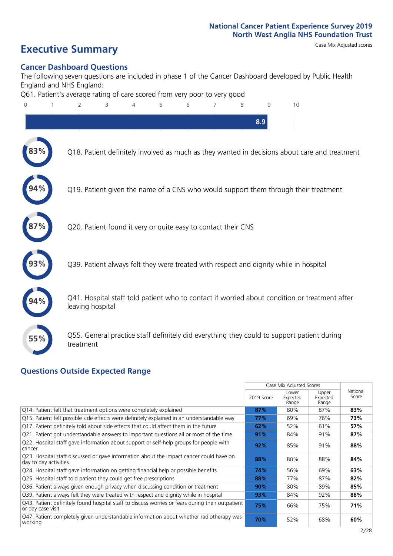### **Executive Summary** Case Mix Adjusted scores

### **Cancer Dashboard Questions**

The following seven questions are included in phase 1 of the Cancer Dashboard developed by Public Health England and NHS England:

Q61. Patient's average rating of care scored from very poor to very good



### **Questions Outside Expected Range**

|                                                                                                                        |            | Case Mix Adjusted Scores   |                            |                   |
|------------------------------------------------------------------------------------------------------------------------|------------|----------------------------|----------------------------|-------------------|
|                                                                                                                        | 2019 Score | Lower<br>Expected<br>Range | Upper<br>Expected<br>Range | National<br>Score |
| Q14. Patient felt that treatment options were completely explained                                                     | 87%        | 80%                        | 87%                        | 83%               |
| Q15. Patient felt possible side effects were definitely explained in an understandable way                             | 77%        | 69%                        | 76%                        | 73%               |
| Q17. Patient definitely told about side effects that could affect them in the future                                   | 62%        | 52%                        | 61%                        | 57%               |
| Q21. Patient got understandable answers to important questions all or most of the time                                 | 91%        | 84%                        | 91%                        | 87%               |
| Q22. Hospital staff gave information about support or self-help groups for people with<br>cancer                       | 92%        | 85%                        | 91%                        | 88%               |
| Q23. Hospital staff discussed or gave information about the impact cancer could have on<br>day to day activities       | 88%        | 80%                        | 88%                        | 84%               |
| Q24. Hospital staff gave information on getting financial help or possible benefits                                    | 74%        | 56%                        | 69%                        | 63%               |
| Q25. Hospital staff told patient they could get free prescriptions                                                     | 88%        | 77%                        | 87%                        | 82%               |
| Q36. Patient always given enough privacy when discussing condition or treatment                                        | 90%        | 80%                        | 89%                        | 85%               |
| Q39. Patient always felt they were treated with respect and dignity while in hospital                                  | 93%        | 84%                        | 92%                        | 88%               |
| [Q43] Patient definitely found hospital staff to discuss worries or fears during their outpatient<br>or day case visit | 75%        | 66%                        | 75%                        | 71%               |
| Q47. Patient completely given understandable information about whether radiotherapy was<br>working                     | 70%        | 52%                        | 68%                        | 60%               |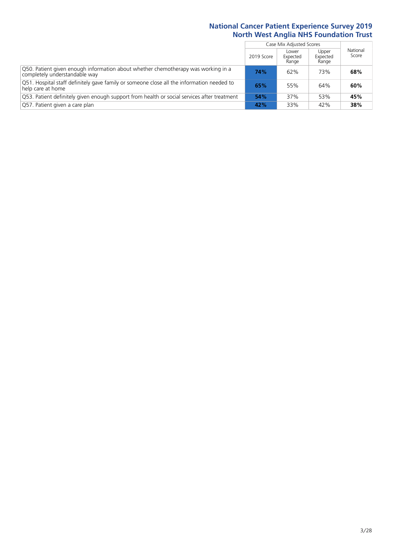|                                                                                                                    |            | Case Mix Adjusted Scores   |                            |                   |
|--------------------------------------------------------------------------------------------------------------------|------------|----------------------------|----------------------------|-------------------|
|                                                                                                                    | 2019 Score | Lower<br>Expected<br>Range | Upper<br>Expected<br>Range | National<br>Score |
| Q50. Patient given enough information about whether chemotherapy was working in a<br>completely understandable way | 74%        | 62%                        | 73%                        | 68%               |
| Q51. Hospital staff definitely gave family or someone close all the information needed to<br>help care at home     | 65%        | 55%                        | 64%                        | 60%               |
| Q53. Patient definitely given enough support from health or social services after treatment                        | 54%        | 37%                        | 53%                        | 45%               |
| Q57. Patient given a care plan                                                                                     | 42%        | 33%                        | 42%                        | 38%               |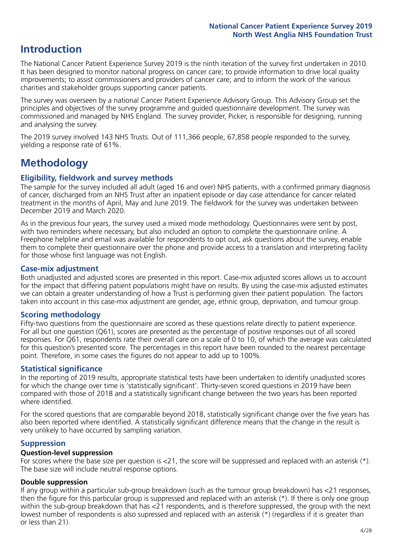### **Introduction**

The National Cancer Patient Experience Survey 2019 is the ninth iteration of the survey first undertaken in 2010. It has been designed to monitor national progress on cancer care; to provide information to drive local quality improvements; to assist commissioners and providers of cancer care; and to inform the work of the various charities and stakeholder groups supporting cancer patients.

The survey was overseen by a national Cancer Patient Experience Advisory Group. This Advisory Group set the principles and objectives of the survey programme and guided questionnaire development. The survey was commissioned and managed by NHS England. The survey provider, Picker, is responsible for designing, running and analysing the survey.

The 2019 survey involved 143 NHS Trusts. Out of 111,366 people, 67,858 people responded to the survey, yielding a response rate of 61%.

### **Methodology**

### **Eligibility, eldwork and survey methods**

The sample for the survey included all adult (aged 16 and over) NHS patients, with a confirmed primary diagnosis of cancer, discharged from an NHS Trust after an inpatient episode or day case attendance for cancer related treatment in the months of April, May and June 2019. The fieldwork for the survey was undertaken between December 2019 and March 2020.

As in the previous four years, the survey used a mixed mode methodology. Questionnaires were sent by post, with two reminders where necessary, but also included an option to complete the questionnaire online. A Freephone helpline and email was available for respondents to opt out, ask questions about the survey, enable them to complete their questionnaire over the phone and provide access to a translation and interpreting facility for those whose first language was not English.

### **Case-mix adjustment**

Both unadjusted and adjusted scores are presented in this report. Case-mix adjusted scores allows us to account for the impact that differing patient populations might have on results. By using the case-mix adjusted estimates we can obtain a greater understanding of how a Trust is performing given their patient population. The factors taken into account in this case-mix adjustment are gender, age, ethnic group, deprivation, and tumour group.

### **Scoring methodology**

Fifty-two questions from the questionnaire are scored as these questions relate directly to patient experience. For all but one question (Q61), scores are presented as the percentage of positive responses out of all scored responses. For Q61, respondents rate their overall care on a scale of 0 to 10, of which the average was calculated for this question's presented score. The percentages in this report have been rounded to the nearest percentage point. Therefore, in some cases the figures do not appear to add up to 100%.

### **Statistical significance**

In the reporting of 2019 results, appropriate statistical tests have been undertaken to identify unadjusted scores for which the change over time is 'statistically significant'. Thirty-seven scored questions in 2019 have been compared with those of 2018 and a statistically significant change between the two years has been reported where identified.

For the scored questions that are comparable beyond 2018, statistically significant change over the five years has also been reported where identified. A statistically significant difference means that the change in the result is very unlikely to have occurred by sampling variation.

### **Suppression**

### **Question-level suppression**

For scores where the base size per question is  $<$ 21, the score will be suppressed and replaced with an asterisk (\*). The base size will include neutral response options.

### **Double suppression**

If any group within a particular sub-group breakdown (such as the tumour group breakdown) has <21 responses, then the figure for this particular group is suppressed and replaced with an asterisk (\*). If there is only one group within the sub-group breakdown that has <21 respondents, and is therefore suppressed, the group with the next lowest number of respondents is also supressed and replaced with an asterisk (\*) (regardless if it is greater than or less than 21).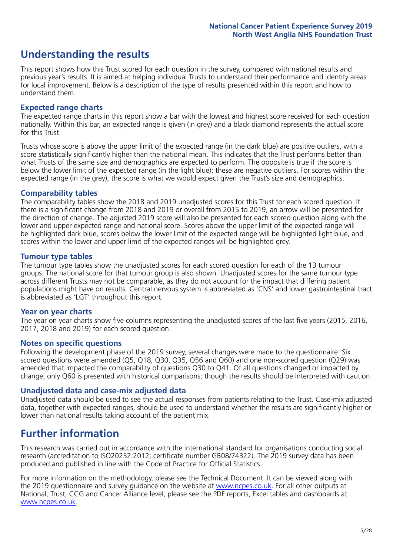### **Understanding the results**

This report shows how this Trust scored for each question in the survey, compared with national results and previous year's results. It is aimed at helping individual Trusts to understand their performance and identify areas for local improvement. Below is a description of the type of results presented within this report and how to understand them.

### **Expected range charts**

The expected range charts in this report show a bar with the lowest and highest score received for each question nationally. Within this bar, an expected range is given (in grey) and a black diamond represents the actual score for this Trust.

Trusts whose score is above the upper limit of the expected range (in the dark blue) are positive outliers, with a score statistically significantly higher than the national mean. This indicates that the Trust performs better than what Trusts of the same size and demographics are expected to perform. The opposite is true if the score is below the lower limit of the expected range (in the light blue); these are negative outliers. For scores within the expected range (in the grey), the score is what we would expect given the Trust's size and demographics.

### **Comparability tables**

The comparability tables show the 2018 and 2019 unadjusted scores for this Trust for each scored question. If there is a significant change from 2018 and 2019 or overall from 2015 to 2019, an arrow will be presented for the direction of change. The adjusted 2019 score will also be presented for each scored question along with the lower and upper expected range and national score. Scores above the upper limit of the expected range will be highlighted dark blue, scores below the lower limit of the expected range will be highlighted light blue, and scores within the lower and upper limit of the expected ranges will be highlighted grey.

### **Tumour type tables**

The tumour type tables show the unadjusted scores for each scored question for each of the 13 tumour groups. The national score for that tumour group is also shown. Unadjusted scores for the same tumour type across different Trusts may not be comparable, as they do not account for the impact that differing patient populations might have on results. Central nervous system is abbreviated as 'CNS' and lower gastrointestinal tract is abbreviated as 'LGT' throughout this report.

### **Year on year charts**

The year on year charts show five columns representing the unadjusted scores of the last five years (2015, 2016, 2017, 2018 and 2019) for each scored question.

#### **Notes on specific questions**

Following the development phase of the 2019 survey, several changes were made to the questionnaire. Six scored questions were amended (Q5, Q18, Q30, Q35, Q56 and Q60) and one non-scored question (Q29) was amended that impacted the comparability of questions Q30 to Q41. Of all questions changed or impacted by change, only Q60 is presented with historical comparisons; though the results should be interpreted with caution.

### **Unadjusted data and case-mix adjusted data**

Unadjusted data should be used to see the actual responses from patients relating to the Trust. Case-mix adjusted data, together with expected ranges, should be used to understand whether the results are significantly higher or lower than national results taking account of the patient mix.

### **Further information**

This research was carried out in accordance with the international standard for organisations conducting social research (accreditation to ISO20252:2012; certificate number GB08/74322). The 2019 survey data has been produced and published in line with the Code of Practice for Official Statistics.

For more information on the methodology, please see the Technical Document. It can be viewed along with the 2019 questionnaire and survey quidance on the website at [www.ncpes.co.uk](https://www.ncpes.co.uk/supporting-documents). For all other outputs at National, Trust, CCG and Cancer Alliance level, please see the PDF reports, Excel tables and dashboards at [www.ncpes.co.uk.](https://www.ncpes.co.uk/current-results)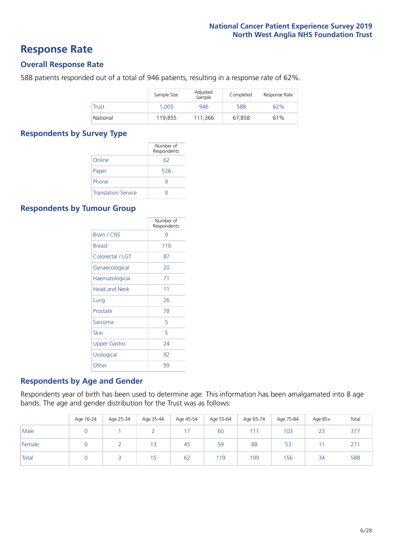### **Response Rate**

### **Overall Response Rate**

588 patients responded out of a total of 946 patients, resulting in a response rate of 62%.

|              | Sample Size | Adjusted<br>Sample | Completed | Response Rate |
|--------------|-------------|--------------------|-----------|---------------|
| <b>Trust</b> | 1.005       | 946                | 588       | 62%           |
| National     | 119.855     | 111,366            | 67.858    | 61%           |

### **Respondents by Survey Type**

|                            | Number of<br>Respondents |
|----------------------------|--------------------------|
| Online                     | 62                       |
| Paper                      | 526                      |
| Phone                      | O                        |
| <b>Translation Service</b> |                          |

### **Respondents by Tumour Group**

|                      | Number of<br>Respondents |
|----------------------|--------------------------|
| Brain / CNS          | ∩                        |
| <b>Breast</b>        | 110                      |
| Colorectal / LGT     | 87                       |
| Gynaecological       | 20                       |
| Haematological       | 71                       |
| <b>Head and Neck</b> | 11                       |
| Lung                 | 26                       |
| Prostate             | 78                       |
| Sarcoma              | 5                        |
| Skin                 | 5                        |
| Upper Gastro         | 24                       |
| Urological           | 92                       |
| Other                | 59                       |

### **Respondents by Age and Gender**

Respondents year of birth has been used to determine age. This information has been amalgamated into 8 age bands. The age and gender distribution for the Trust was as follows:

|        | Age 16-24 | Age 25-34 | Age 35-44 | Age 45-54 | Age 55-64 | Age 65-74 | Age 75-84 | Age 85+ | Total |
|--------|-----------|-----------|-----------|-----------|-----------|-----------|-----------|---------|-------|
| Male   |           |           |           |           | 60        | 111       | 103       | 23      | 317   |
| Female |           |           | 13        | 45        | 59        | 88        | 53        |         | 271   |
| Total  |           |           | 15        | 62        | 119       | 199       | 156       | 34      | 588   |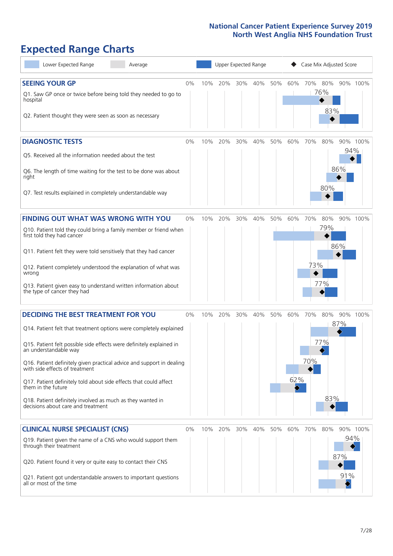# **Expected Range Charts**

| Lower Expected Range<br>Average                                                                                                                                                                                                                                                                                                                                                                                                                                                                                             | Upper Expected Range<br>Case Mix Adjusted Score |     |     |     |     |     |            |            |                   |                   |          |
|-----------------------------------------------------------------------------------------------------------------------------------------------------------------------------------------------------------------------------------------------------------------------------------------------------------------------------------------------------------------------------------------------------------------------------------------------------------------------------------------------------------------------------|-------------------------------------------------|-----|-----|-----|-----|-----|------------|------------|-------------------|-------------------|----------|
| <b>SEEING YOUR GP</b><br>Q1. Saw GP once or twice before being told they needed to go to<br>hospital<br>Q2. Patient thought they were seen as soon as necessary                                                                                                                                                                                                                                                                                                                                                             | 0%                                              | 10% | 20% | 30% | 40% | 50% | 60%        | 70% 80%    | 76%<br>83%        | 90% 100%          |          |
| <b>DIAGNOSTIC TESTS</b><br>Q5. Received all the information needed about the test<br>Q6. The length of time waiting for the test to be done was about<br>right<br>Q7. Test results explained in completely understandable way                                                                                                                                                                                                                                                                                               | 0%                                              | 10% | 20% | 30% | 40% | 50% | 60%        | 70%        | 80%<br>80%        | 94%<br>86%        | 90% 100% |
| <b>FINDING OUT WHAT WAS WRONG WITH YOU</b><br>Q10. Patient told they could bring a family member or friend when<br>first told they had cancer<br>Q11. Patient felt they were told sensitively that they had cancer<br>Q12. Patient completely understood the explanation of what was<br>wrong<br>Q13. Patient given easy to understand written information about<br>the type of cancer they had                                                                                                                             | 0%                                              | 10% | 20% | 30% | 40% | 50% | 60%        | 70%<br>73% | 80%<br>79%<br>77% | 86%               | 90% 100% |
| <b>DECIDING THE BEST TREATMENT FOR YOU</b><br>Q14. Patient felt that treatment options were completely explained<br>Q15. Patient felt possible side effects were definitely explained in<br>an understandable way<br>Q16. Patient definitely given practical advice and support in dealing<br>with side effects of treatment<br>Q17. Patient definitely told about side effects that could affect<br>them in the future<br>Q18. Patient definitely involved as much as they wanted in<br>decisions about care and treatment | 0%                                              | 10% | 20% | 30% | 40% | 50% | 60%<br>62% | 70%<br>70% | 80%<br>77%<br>83% | 90% 100%<br>87%   |          |
| <b>CLINICAL NURSE SPECIALIST (CNS)</b><br>Q19. Patient given the name of a CNS who would support them<br>through their treatment<br>Q20. Patient found it very or quite easy to contact their CNS<br>Q21. Patient got understandable answers to important questions<br>all or most of the time                                                                                                                                                                                                                              | 0%                                              | 10% | 20% | 30% | 40% | 50% | 60%        | 70%        | 80%               | 94%<br>87%<br>91% | 90% 100% |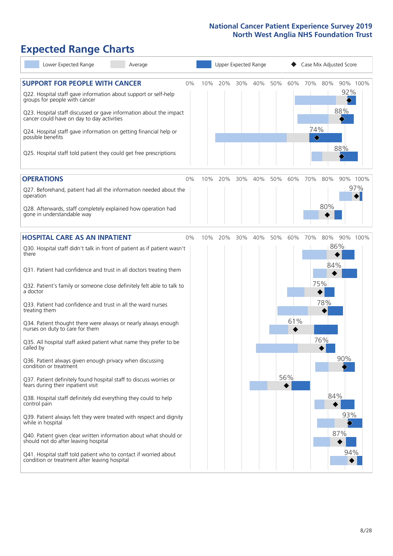## **Expected Range Charts**

| Lower Expected Range<br>Average                                                                                                                                                                                                                                                                                                                                                                                               | Upper Expected Range |     |     |     |         |     | Case Mix Adjusted Score |                 |            |                               |     |
|-------------------------------------------------------------------------------------------------------------------------------------------------------------------------------------------------------------------------------------------------------------------------------------------------------------------------------------------------------------------------------------------------------------------------------|----------------------|-----|-----|-----|---------|-----|-------------------------|-----------------|------------|-------------------------------|-----|
| <b>SUPPORT FOR PEOPLE WITH CANCER</b><br>Q22. Hospital staff gave information about support or self-help<br>groups for people with cancer<br>Q23. Hospital staff discussed or gave information about the impact<br>cancer could have on day to day activities<br>Q24. Hospital staff gave information on getting financial help or<br>possible benefits<br>Q25. Hospital staff told patient they could get free prescriptions | $0\%$                | 10% | 20% |     | 30% 40% | 50% | 60%                     | 70%<br>74%<br>♦ | 80%        | 90% 100%<br>92%<br>88%<br>88% |     |
| <b>OPERATIONS</b><br>Q27. Beforehand, patient had all the information needed about the<br>operation                                                                                                                                                                                                                                                                                                                           | 0%                   | 10% | 20% | 30% | 40%     | 50% | 60%                     | 70%             | 80%        | 90% 100%                      | 97% |
| Q28. Afterwards, staff completely explained how operation had<br>gone in understandable way                                                                                                                                                                                                                                                                                                                                   |                      |     |     |     |         |     |                         |                 | 80%        |                               |     |
| <b>HOSPITAL CARE AS AN INPATIENT</b><br>Q30. Hospital staff didn't talk in front of patient as if patient wasn't<br>there                                                                                                                                                                                                                                                                                                     | 0%                   | 10% | 20% | 30% | 40%     | 50% | 60%                     | 70%             | 80%        | 90% 100%<br>86%               |     |
| Q31. Patient had confidence and trust in all doctors treating them<br>Q32. Patient's family or someone close definitely felt able to talk to<br>a doctor                                                                                                                                                                                                                                                                      |                      |     |     |     |         |     |                         |                 | 84%<br>75% |                               |     |
| Q33. Patient had confidence and trust in all the ward nurses<br>treating them<br>Q34. Patient thought there were always or nearly always enough<br>nurses on duty to care for them                                                                                                                                                                                                                                            |                      |     |     |     |         |     | 61%                     |                 | 78%        |                               |     |
| Q35. All hospital staff asked patient what name they prefer to be<br>called by                                                                                                                                                                                                                                                                                                                                                |                      |     |     |     |         |     |                         |                 | 76%        | 90%                           |     |
| Q36. Patient always given enough privacy when discussing<br>condition or treatment<br>Q37. Patient definitely found hospital staff to discuss worries or<br>fears during their inpatient visit                                                                                                                                                                                                                                |                      |     |     |     |         |     | 56%                     |                 |            |                               |     |
| Q38. Hospital staff definitely did everything they could to help<br>control pain<br>Q39. Patient always felt they were treated with respect and dignity<br>while in hospital                                                                                                                                                                                                                                                  |                      |     |     |     |         |     |                         |                 | 84%        | 93%                           |     |
| Q40. Patient given clear written information about what should or<br>should not do after leaving hospital<br>Q41. Hospital staff told patient who to contact if worried about<br>condition or treatment after leaving hospital                                                                                                                                                                                                |                      |     |     |     |         |     |                         |                 |            | 87%<br>94%                    |     |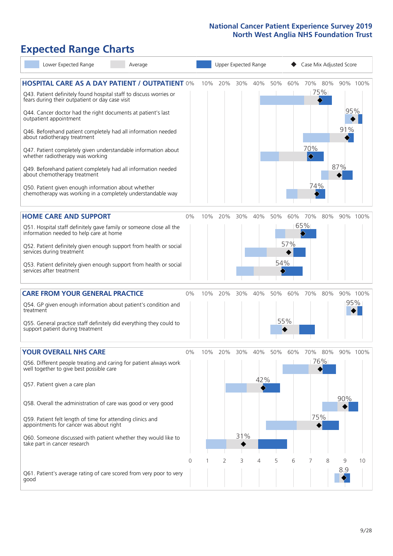# **Expected Range Charts**

| Lower Expected Range                                                                                                                                                                                                                                                                                                                                                                                                                                                                                                                                                                                                                          | Average                                                                                                                                                                                                         |       |     |         |            | Upper Expected Range | Case Mix Adjusted Score |            |                        |                   |                   |                 |
|-----------------------------------------------------------------------------------------------------------------------------------------------------------------------------------------------------------------------------------------------------------------------------------------------------------------------------------------------------------------------------------------------------------------------------------------------------------------------------------------------------------------------------------------------------------------------------------------------------------------------------------------------|-----------------------------------------------------------------------------------------------------------------------------------------------------------------------------------------------------------------|-------|-----|---------|------------|----------------------|-------------------------|------------|------------------------|-------------------|-------------------|-----------------|
| Q43. Patient definitely found hospital staff to discuss worries or<br>fears during their outpatient or day case visit<br>Q44. Cancer doctor had the right documents at patient's last<br>outpatient appointment<br>Q46. Beforehand patient completely had all information needed<br>about radiotherapy treatment<br>Q47. Patient completely given understandable information about<br>whether radiotherapy was working<br>Q49. Beforehand patient completely had all information needed<br>about chemotherapy treatment<br>Q50. Patient given enough information about whether<br>chemotherapy was working in a completely understandable way | <b>HOSPITAL CARE AS A DAY PATIENT / OUTPATIENT 0%</b>                                                                                                                                                           |       | 10% | 20%     | 30%        | 40%                  | 50%                     | 60%        | 70%<br>70%<br>♦<br>74% | 80%<br>75%        | 95%<br>91%<br>87% | 90% 100%        |
| <b>HOME CARE AND SUPPORT</b><br>information needed to help care at home<br>services during treatment<br>services after treatment                                                                                                                                                                                                                                                                                                                                                                                                                                                                                                              | Q51. Hospital staff definitely gave family or someone close all the<br>Q52. Patient definitely given enough support from health or social<br>Q53. Patient definitely given enough support from health or social | 0%    | 10% | 20%     |            | 30% 40%              | 50%<br>54%              | 60%<br>57% | 70%<br>65%             | 80%               |                   | 90% 100%        |
| <b>CARE FROM YOUR GENERAL PRACTICE</b><br>Q54. GP given enough information about patient's condition and<br>treatment<br>Q55. General practice staff definitely did everything they could to<br>support patient during treatment                                                                                                                                                                                                                                                                                                                                                                                                              |                                                                                                                                                                                                                 | 0%    |     | 10% 20% | 30%        | 40%                  | 50%                     | 60%<br>55% | 70%                    | 80%               |                   | 90% 100%<br>95% |
| <b>YOUR OVERALL NHS CARE</b><br>well together to give best possible care<br>Q57. Patient given a care plan<br>Q58. Overall the administration of care was good or very good<br>Q59. Patient felt length of time for attending clinics and<br>appointments for cancer was about right<br>take part in cancer research                                                                                                                                                                                                                                                                                                                          | Q56. Different people treating and caring for patient always work<br>Q60. Someone discussed with patient whether they would like to                                                                             | $0\%$ | 10% | 20%     | 30%<br>31% | 40%<br>42%           | 50%                     | 60%        | 70%                    | 80%<br>76%<br>75% | 90%               | 90% 100%        |
| good                                                                                                                                                                                                                                                                                                                                                                                                                                                                                                                                                                                                                                          | Q61. Patient's average rating of care scored from very poor to very                                                                                                                                             | Ω     |     | 2       | 3          | 4                    | 5                       | 6          |                        | 8                 | 9<br>8.9          | 10              |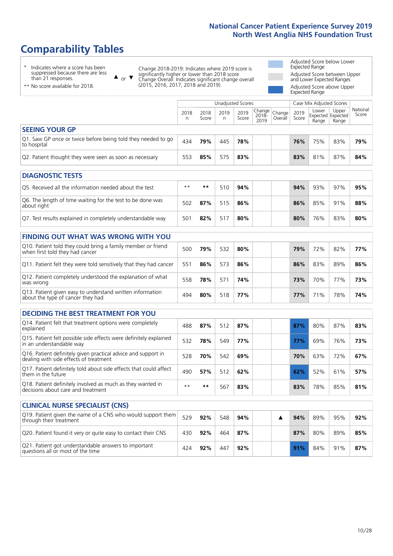## **Comparability Tables**

\* Indicates where a score has been suppressed because there are less than 21 responses.

\*\* No score available for 2018.

 $\triangle$  or  $\nabla$ 

Change 2018-2019: Indicates where 2019 score is significantly higher or lower than 2018 score Change Overall: Indicates significant change overall (2015, 2016, 2017, 2018 and 2019).

Adjusted Score below Lower Expected Range Adjusted Score between Upper and Lower Expected Ranges Adjusted Score above Upper Expected Range

|                                                                             | Unadjusted Scores |               |           |               |                                                  |         |               | Case Mix Adjusted Scores |                                     |                   |  |
|-----------------------------------------------------------------------------|-------------------|---------------|-----------|---------------|--------------------------------------------------|---------|---------------|--------------------------|-------------------------------------|-------------------|--|
|                                                                             | 2018<br>n         | 2018<br>Score | 2019<br>n | 2019<br>Score | $\sqrt{(\text{Change})}$ Change<br>2018-<br>2019 | Overall | 2019<br>Score | Lower<br>Range           | Upper<br>Expected Expected<br>Range | National<br>Score |  |
| <b>SEEING YOUR GP</b>                                                       |                   |               |           |               |                                                  |         |               |                          |                                     |                   |  |
| Q1. Saw GP once or twice before being told they needed to go<br>to hospital | 434               | 79%           | 445       | 78%           |                                                  |         | 76%           | 75%                      | 83%                                 | 79%               |  |
| Q2. Patient thought they were seen as soon as necessary                     | 553               | 85%           | 575       | 83%           |                                                  |         | 83%           | 81%                      | 87%                                 | 84%               |  |
| <b>DIAGNOSTIC TESTS</b>                                                     |                   |               |           |               |                                                  |         |               |                          |                                     |                   |  |

| <b>UIAGINUSTIC TESTS</b>                                                  |      |     |     |     |  |     |     |     |     |
|---------------------------------------------------------------------------|------|-----|-----|-----|--|-----|-----|-----|-----|
| Q5. Received all the information needed about the test                    | $**$ | **  | 510 | 94% |  | 94% | 93% | 97% | 95% |
| Q6. The length of time waiting for the test to be done was<br>about right | 502  | 87% |     | 86% |  | 86% | 85% | 91% | 88% |
| Q7. Test results explained in completely understandable way               | 501  | 82% |     | 80% |  | 80% | 76% | 83% | 80% |

| <b>FINDING OUT WHAT WAS WRONG WITH YOU</b>                                                      |     |     |     |     |     |     |     |     |
|-------------------------------------------------------------------------------------------------|-----|-----|-----|-----|-----|-----|-----|-----|
| Q10. Patient told they could bring a family member or friend<br>when first told they had cancer | 500 | 79% | 532 | 80% | 79% | 72% | 82% | 77% |
| Q11. Patient felt they were told sensitively that they had cancer                               | 551 | 86% | 573 | 86% | 86% | 83% | 89% | 86% |
| Q12. Patient completely understood the explanation of what<br>was wrong                         | 558 | 78% | 571 | 74% | 73% | 70% | 77% | 73% |
| Q13. Patient given easy to understand written information<br>about the type of cancer they had  | 494 | 80% | 518 | 77% | 77% | 71% | 78% | 74% |

| <b>DECIDING THE BEST TREATMENT FOR YOU</b>                                                              |      |      |     |     |     |     |     |     |
|---------------------------------------------------------------------------------------------------------|------|------|-----|-----|-----|-----|-----|-----|
| Q14. Patient felt that treatment options were completely<br>explained                                   | 488  | 87%  | 512 | 87% | 87% | 80% | 87% | 83% |
| Q15. Patient felt possible side effects were definitely explained<br>in an understandable way           | 532  | 78%  | 549 | 77% | 77% | 69% | 76% | 73% |
| Q16. Patient definitely given practical advice and support in<br>dealing with side effects of treatment | 528  | 70%  | 542 | 69% | 70% | 63% | 72% | 67% |
| Q17. Patient definitely told about side effects that could affect<br>them in the future                 | 490  | 57%  | 512 | 62% | 62% | 52% | 61% | 57% |
| Q18. Patient definitely involved as much as they wanted in<br>decisions about care and treatment        | $**$ | $**$ | 567 | 83% | 83% | 78% | 85% | 81% |

| <b>CLINICAL NURSE SPECIALIST (CNS)</b>                                                    |     |     |     |     |  |     |     |     |     |
|-------------------------------------------------------------------------------------------|-----|-----|-----|-----|--|-----|-----|-----|-----|
| Q19. Patient given the name of a CNS who would support them<br>through their treatment    | 529 | 92% | 548 | 94% |  | 94% | 89% | 95% | 92% |
| Q20. Patient found it very or quite easy to contact their CNS                             | 430 | 92% | 464 | 87% |  | 87% | 80% | 89% | 85% |
| Q21. Patient got understandable answers to important<br>questions all or most of the time | 424 | 92% | 447 | 92% |  | 91% | 84% | 91% | 87% |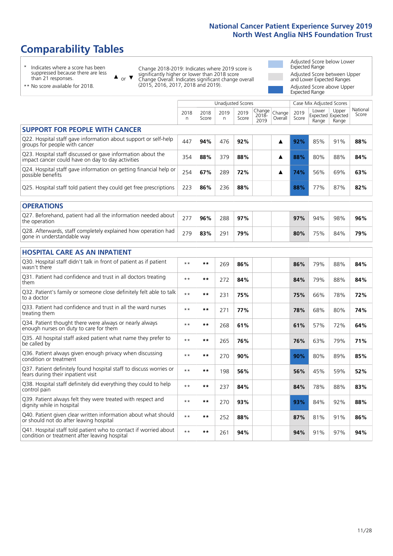### **Comparability Tables**

\* Indicates where a score has been suppressed because there are less than 21 responses.

\*\* No score available for 2018.

 $\triangle$  or  $\nabla$ 

Change 2018-2019: Indicates where 2019 score is significantly higher or lower than 2018 score Change Overall: Indicates significant change overall (2015, 2016, 2017, 2018 and 2019).

Adjusted Score below Lower Expected Range Adjusted Score between Upper and Lower Expected Ranges Adjusted Score above Upper Expected Range

|                                                                                                                   |              |               |            | <b>Unadjusted Scores</b> |                         |                   |               | Case Mix Adjusted Scores            |                |                   |
|-------------------------------------------------------------------------------------------------------------------|--------------|---------------|------------|--------------------------|-------------------------|-------------------|---------------|-------------------------------------|----------------|-------------------|
|                                                                                                                   | 2018<br>n    | 2018<br>Score | 2019<br>n. | 2019<br>Score            | Change<br>2018-<br>2019 | Change<br>Overall | 2019<br>Score | Lower<br>Expected Expected<br>Range | Upper<br>Range | National<br>Score |
| <b>SUPPORT FOR PEOPLE WITH CANCER</b>                                                                             |              |               |            |                          |                         |                   |               |                                     |                |                   |
| Q22. Hospital staff gave information about support or self-help<br>groups for people with cancer                  | 447          | 94%           | 476        | 92%                      |                         | ▲                 | 92%           | 85%                                 | 91%            | 88%               |
| Q23. Hospital staff discussed or gave information about the<br>impact cancer could have on day to day activities  | 354          | 88%           | 379        | 88%                      |                         | ▲                 | 88%           | 80%                                 | 88%            | 84%               |
| Q24. Hospital staff gave information on getting financial help or<br>possible benefits                            | 254          | 67%           | 289        | 72%                      |                         | ▲                 | 74%           | 56%                                 | 69%            | 63%               |
| Q25. Hospital staff told patient they could get free prescriptions                                                | 223          | 86%           | 236        | 88%                      |                         |                   | 88%           | 77%                                 | 87%            | 82%               |
| <b>OPERATIONS</b>                                                                                                 |              |               |            |                          |                         |                   |               |                                     |                |                   |
| Q27. Beforehand, patient had all the information needed about<br>the operation                                    | 277          | 96%           | 288        | 97%                      |                         |                   | 97%           | 94%                                 | 98%            | 96%               |
| Q28. Afterwards, staff completely explained how operation had<br>gone in understandable way                       | 279          | 83%           | 291        | 79%                      |                         |                   | 80%           | 75%                                 | 84%            | 79%               |
| <b>HOSPITAL CARE AS AN INPATIENT</b>                                                                              |              |               |            |                          |                         |                   |               |                                     |                |                   |
| Q30. Hospital staff didn't talk in front of patient as if patient<br>wasn't there                                 | $* *$        | **            | 269        | 86%                      |                         |                   | 86%           | 79%                                 | 88%            | 84%               |
| Q31. Patient had confidence and trust in all doctors treating<br>them                                             | $**$         | $\star\star$  | 272        | 84%                      |                         |                   | 84%           | 79%                                 | 88%            | 84%               |
| Q32. Patient's family or someone close definitely felt able to talk<br>to a doctor                                | $* *$        | **            | 231        | 75%                      |                         |                   | 75%           | 66%                                 | 78%            | 72%               |
| O33. Patient had confidence and trust in all the ward nurses<br>treating them                                     | $**$         | **            | 271        | 77%                      |                         |                   | 78%           | 68%                                 | 80%            | 74%               |
| Q34. Patient thought there were always or nearly always<br>enough nurses on duty to care for them                 | $* *$        | **            | 268        | 61%                      |                         |                   | 61%           | 57%                                 | 72%            | 64%               |
| Q35. All hospital staff asked patient what name they prefer to<br>be called by                                    | $* *$        | **            | 265        | 76%                      |                         |                   | 76%           | 63%                                 | 79%            | 71%               |
| Q36. Patient always given enough privacy when discussing<br>condition or treatment                                | $**$         | $***$         | 270        | 90%                      |                         |                   | 90%           | 80%                                 | 89%            | 85%               |
| Q37. Patient definitely found hospital staff to discuss worries or<br>fears during their inpatient visit          | $**$         | **            | 198        | 56%                      |                         |                   | 56%           | 45%                                 | 59%            | 52%               |
| Q38. Hospital staff definitely did everything they could to help<br>control pain                                  | $\star\star$ | $***$         | 237        | 84%                      |                         |                   | 84%           | 78%                                 | 88%            | 83%               |
| Q39. Patient always felt they were treated with respect and<br>dignity while in hospital                          | $***$        | **            | 270        | 93%                      |                         |                   | 93%           | 84%                                 | 92%            | 88%               |
| Q40. Patient given clear written information about what should<br>or should not do after leaving hospital         | $**$         | **            | 252        | 88%                      |                         |                   | 87%           | 81%                                 | 91%            | 86%               |
| Q41. Hospital staff told patient who to contact if worried about<br>condition or treatment after leaving hospital | $**$         | **            | 261        | 94%                      |                         |                   | 94%           | 91%                                 | 97%            | 94%               |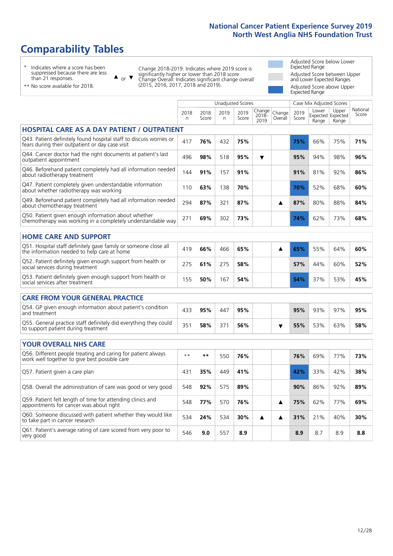### **Comparability Tables**

\* Indicates where a score has been suppressed because there are less than 21 responses.

\*\* No score available for 2018.

 $\triangle$  or  $\nabla$ 

Change 2018-2019: Indicates where 2019 score is significantly higher or lower than 2018 score Change Overall: Indicates significant change overall (2015, 2016, 2017, 2018 and 2019).

Adjusted Score below Lower Expected Range Adjusted Score between Upper and Lower Expected Ranges Adjusted Score above Upper Expected Range

|                                                                                                                       |           |               | <b>Unadjusted Scores</b> |               |                         |                   |               | Case Mix Adjusted Scores            |                |                   |
|-----------------------------------------------------------------------------------------------------------------------|-----------|---------------|--------------------------|---------------|-------------------------|-------------------|---------------|-------------------------------------|----------------|-------------------|
|                                                                                                                       | 2018<br>n | 2018<br>Score | 2019<br>n.               | 2019<br>Score | Change<br>2018-<br>2019 | Change<br>Overall | 2019<br>Score | Lower<br>Expected Expected<br>Range | Upper<br>Range | National<br>Score |
| <b>HOSPITAL CARE AS A DAY PATIENT / OUTPATIENT</b>                                                                    |           |               |                          |               |                         |                   |               |                                     |                |                   |
| Q43. Patient definitely found hospital staff to discuss worries or<br>fears during their outpatient or day case visit | 417       | 76%           | 432                      | 75%           |                         |                   | 75%           | 66%                                 | 75%            | 71%               |
| Q44. Cancer doctor had the right documents at patient's last<br>outpatient appointment                                | 496       | 98%           | 518                      | 95%           | ▼                       |                   | 95%           | 94%                                 | 98%            | 96%               |
| Q46. Beforehand patient completely had all information needed<br>about radiotherapy treatment                         | 144       | 91%           | 157                      | 91%           |                         |                   | 91%           | 81%                                 | 92%            | 86%               |
| Q47. Patient completely given understandable information<br>about whether radiotherapy was working                    | 110       | 63%           | 138                      | 70%           |                         |                   | 70%           | 52%                                 | 68%            | 60%               |
| Q49. Beforehand patient completely had all information needed<br>about chemotherapy treatment                         | 294       | 87%           | 321                      | 87%           |                         | ▲                 | 87%           | 80%                                 | 88%            | 84%               |
| Q50. Patient given enough information about whether<br>chemotherapy was working in a completely understandable way    | 271       | 69%           | 302                      | 73%           |                         |                   | 74%           | 62%                                 | 73%            | 68%               |
| <b>HOME CARE AND SUPPORT</b>                                                                                          |           |               |                          |               |                         |                   |               |                                     |                |                   |
| Q51. Hospital staff definitely gave family or someone close all<br>the information needed to help care at home        | 419       | 66%           | 466                      | 65%           |                         | ▲                 | 65%           | 55%                                 | 64%            | 60%               |
| Q52. Patient definitely given enough support from health or<br>social services during treatment                       | 275       | 61%           | 275                      | 58%           |                         |                   | 57%           | 44%                                 | 60%            | 52%               |
| Q53. Patient definitely given enough support from health or<br>social services after treatment                        | 155       | 50%           | 167                      | 54%           |                         |                   | 54%           | 37%                                 | 53%            | 45%               |
| <b>CARE FROM YOUR GENERAL PRACTICE</b>                                                                                |           |               |                          |               |                         |                   |               |                                     |                |                   |
| Q54. GP given enough information about patient's condition<br>and treatment                                           | 433       | 95%           | 447                      | 95%           |                         |                   | 95%           | 93%                                 | 97%            | 95%               |
| Q55. General practice staff definitely did everything they could<br>to support patient during treatment               | 351       | 58%           | 371                      | 56%           |                         | ▼                 | 55%           | 53%                                 | 63%            | 58%               |
| <b>YOUR OVERALL NHS CARE</b>                                                                                          |           |               |                          |               |                         |                   |               |                                     |                |                   |
| Q56. Different people treating and caring for patient always                                                          | $* *$     | $***$         |                          |               |                         |                   |               |                                     |                |                   |
| work well together to give best possible care                                                                         |           |               | 550                      | 76%           |                         |                   | 76%           | 69%                                 | 77%            | 73%               |
| Q57. Patient given a care plan                                                                                        | 431       | 35%           | 449                      | 41%           |                         |                   | 42%           | 33%                                 | 42%            | 38%               |
| Q58. Overall the administration of care was good or very good                                                         | 548       | 92%           | 575                      | 89%           |                         |                   | 90%           | 86%                                 | 92%            | 89%               |
| Q59. Patient felt length of time for attending clinics and<br>appointments for cancer was about right                 | 548       | 77%           | 570                      | 76%           |                         | ▲                 | 75%           | 62%                                 | 77%            | 69%               |
| Q60. Someone discussed with patient whether they would like<br>to take part in cancer research                        | 534       | 24%           | 534                      | 30%           | ▲                       | ▲                 | 31%           | 21%                                 | 40%            | 30%               |
| Q61. Patient's average rating of care scored from very poor to<br>very good                                           | 546       | 9.0           | 557                      | 8.9           |                         |                   | 8.9           | 8.7                                 | 8.9            | 8.8               |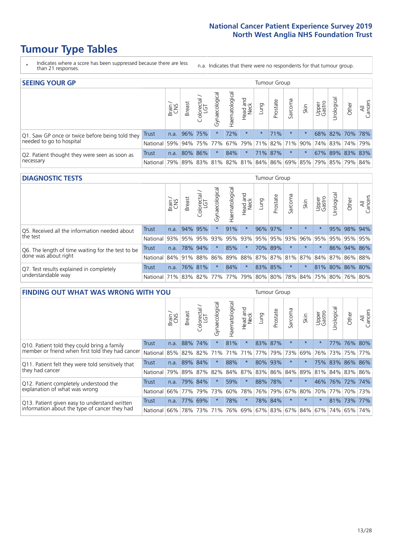### **Tumour Type Tables**

- \* Indicates where a score has been suppressed because there are less than 21 responses.
- n.a. Indicates that there were no respondents for that tumour group.

| <b>SEEING YOUR GP</b>                           |              |       |                 |                   |                    |                |                  |                 | Tumour Group |         |         |                 |                                                     |       |                |
|-------------------------------------------------|--------------|-------|-----------------|-------------------|--------------------|----------------|------------------|-----------------|--------------|---------|---------|-----------------|-----------------------------------------------------|-------|----------------|
|                                                 |              | Brain | <b>Breast</b>   | Colorectal<br>LGT | ᠊ᢛ<br>Gynaecologic | Haematological | Head and<br>Neck | Lung            | Prostate     | Sarcoma | Skin    | Upper<br>Gastro | —<br>Irologica                                      | Other | All<br>Cancers |
| Q1. Saw GP once or twice before being told they | <b>Trust</b> | n.a.  |                 | 96% 75%           |                    | 72%            | $\star$          | $\star$         | 71%          | $\star$ |         |                 | 68% 82% 70% 78%                                     |       |                |
| needed to go to hospital                        | National     |       | 59% 94% 75% 77% |                   |                    |                |                  | 67% 79% 71% 82% |              |         |         |                 | 71% 90% 74% 83% 74% 79%                             |       |                |
| Q2. Patient thought they were seen as soon as   | Trust        | n.a.  |                 | 80% 86%           | $\star$            | 84%            | $\star$          |                 | 71% 87%      | $\star$ | $\star$ |                 | 67% 89% 83% 83%                                     |       |                |
| necessary                                       | National     | 79%   |                 |                   |                    |                |                  |                 |              |         |         |                 | 89% 83% 81% 82% 81% 84% 86% 69% 85% 79% 85% 79% 84% |       |                |

#### **DIAGNOSTIC TESTS** Tumour Group

|                                                   |                                                                  | Brain | <b>Breast</b> | olorectal.<br>LGT<br>Ü | Gynaecological | Haematological | Head and<br>Neck | Lung            | Prostate | Sarcoma | Skin    | Upper<br>Gastro | Irological                                  | Other       | All<br>Cancers |
|---------------------------------------------------|------------------------------------------------------------------|-------|---------------|------------------------|----------------|----------------|------------------|-----------------|----------|---------|---------|-----------------|---------------------------------------------|-------------|----------------|
| Q5. Received all the information needed about     | Trust                                                            | n.a.  |               | 94% 95%                |                | 91%            | $\star$          |                 | 96% 97%  |         | $\star$ | $\star$         |                                             | 95% 98%     | 94%            |
| the test                                          | National                                                         | 93%   | 95%           | 95%                    | 93%            |                |                  | 95%   93%   95% | 95%      | 93%     | 96%     | 95%             | 95%                                         | 95%         | 95%            |
| Q6. The length of time waiting for the test to be | Trust                                                            | n.a.  |               | 78% 94%                |                | 85%            | $\star$          |                 | 70% 89%  |         | $\star$ | $\star$         |                                             | 86% 94% 86% |                |
| done was about right                              | National 84% 91%                                                 |       |               | 88%                    |                |                |                  |                 |          |         |         |                 | 86% 89% 88% 87% 87% 81% 87% 84% 87% 86% 88% |             |                |
| Q7. Test results explained in completely          | <b>Trust</b>                                                     | n.a.  |               | 76% 81%                |                | 84%            | $\star$          |                 | 83% 85%  | $\ast$  |         |                 | 81% 80% 86% 80%                             |             |                |
| understandable way                                | National 71% 83% 82% 77% 77% 79% 80% 80% 78% 84% 75% 80% 76% 80% |       |               |                        |                |                |                  |                 |          |         |         |                 |                                             |             |                |

| <b>FINDING OUT WHAT WAS WRONG WITH YOU</b>        |              |       |               |                                  |                |                |                        |                     | <b>Tumour Group</b> |         |         |                 |                 |         |                |
|---------------------------------------------------|--------------|-------|---------------|----------------------------------|----------------|----------------|------------------------|---------------------|---------------------|---------|---------|-----------------|-----------------|---------|----------------|
|                                                   |              | Brain | <b>Breast</b> | ╮<br>olorectal.<br>LGT<br>$\cup$ | Gynaecological | Haematological | ad and<br>Neck<br>Head | Lung                | Prostate            | Sarcoma | Skin    | Upper<br>Gastro | Jrological      | Other   | All<br>Cancers |
| Q10. Patient told they could bring a family       | <b>Trust</b> | n.a.  | 88%           | 74%                              | $\star$        | 81%            | $\star$                | 83%                 | 87%                 | $\star$ | $\star$ | $\star$         | 77%             | 76% 80% |                |
| member or friend when first told they had cancer  | National     | 85%   | 82%           | 82%                              | 71%            | 71%            | 71%                    | 77%                 | 79%                 | 73%     | 69%     | 76%             | 73%             | 75%     | 77%            |
| Q11. Patient felt they were told sensitively that | Trust        | n.a.  | 89%           | 84%                              | $\star$        | 88%            | $\star$                | 80%                 | 93%                 | $\star$ |         |                 | 75% 83%         | 86% 86% |                |
| they had cancer                                   | National     | 79%   |               | 89% 87%                          | 82%            |                | 84% 87%                | 83%                 | 86%                 | 84%     | 89%     |                 | 81% 84% 83% 86% |         |                |
| Q12. Patient completely understood the            | Trust        | n.a.  | 79%           | 84%                              | $\star$        | 59%            | $\star$                | 88%                 | 78%                 | $\star$ |         |                 | 46% 76% 72%     |         | 74%            |
| explanation of what was wrong                     | National     | 66%   | 77%           | 79%                              | 73%            | 60%            | 78%                    | 76%                 | 79%                 | 67%     | 80%     |                 | 70% 77%         | 70%     | 73%            |
| Q13. Patient given easy to understand written     | Trust        | n.a.  | 77%           | 69%                              | $\star$        | 78%            | $\star$                |                     | 78% 84%             | $\star$ | $\star$ | $\star$         | 81% 73%         |         | 77%            |
| information about the type of cancer they had     | National     | 66%   | 78%           | 73%                              | 71%            |                |                        | 76% 69% 67% 83% 67% |                     |         | 84%     |                 | 67%   74%       | 65%     | 74%            |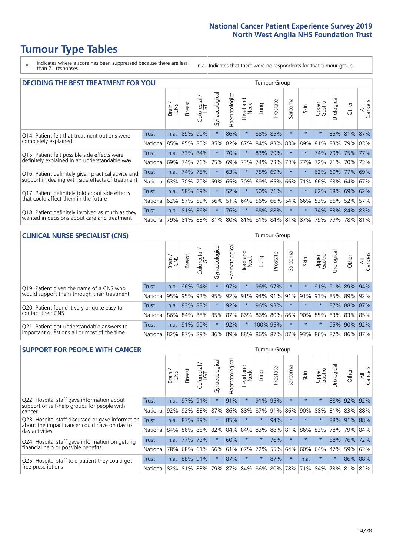### **Tumour Type Tables**

\* Indicates where a score has been suppressed because there are less than 21 responses.

n.a. Indicates that there were no respondents for that tumour group.

| <b>DECIDING THE BEST TREATMENT FOR YOU</b>         |              |       |               |                             |                |                |                  |      | <b>Tumour Group</b> |                                     |         |                 |            |                 |                |
|----------------------------------------------------|--------------|-------|---------------|-----------------------------|----------------|----------------|------------------|------|---------------------|-------------------------------------|---------|-----------------|------------|-----------------|----------------|
|                                                    |              | Brain | <b>Breast</b> | blorectal.<br>LGT<br>$\cup$ | Gynaecological | Haematological | Head and<br>Neck | Lung | Prostate            | Sarcoma                             | Skin    | Upper<br>Gastro | Jrological | Other           | All<br>Cancers |
| Q14. Patient felt that treatment options were      | <b>Trust</b> | n.a.  | 89%           | 90%                         | $\star$        | 86%            | $\star$          | 88%  | 85%                 | $\star$                             | $\star$ | $\star$         |            | 85% 81%         | 87%            |
| completely explained                               | National     | 85%   | 85% 85%       |                             | 85%            | 82%            | 87%              |      | 84% 83%             | 83%                                 | 89%     | 81%             |            | 83% 79% 83%     |                |
| Q15. Patient felt possible side effects were       | Trust        | n.a.  | 73%           | 84%                         | $\star$        | 70%            | $\star$          |      | 83% 79%             | $\star$                             |         | 74%             | 79%        | 75%             | 77%            |
| definitely explained in an understandable way      | National     | 69%   | 74%           | 76%                         | 75%            | 69%            | 73%              |      | 74% 73%             | 73%                                 | 77%     | 72%             | 71%        | 70% 73%         |                |
| Q16. Patient definitely given practical advice and | Trust        | n.a.  | 74%           | 75%                         | $\star$        | 63%            | $\ast$           |      | 75% 69%             | $^\star$                            |         |                 |            | 62% 60% 77%     | 69%            |
| support in dealing with side effects of treatment  | National     | 63%   | 70%           | 70%                         | 69%            | 65%            | 70%              |      | 69% 65%             | 66%                                 | 71%     | 66%             |            | 63% 64% 67%     |                |
| Q17. Patient definitely told about side effects    | Trust        | n.a.  | 58%           | 69%                         |                | 52%            | $\star$          |      | 50% 71%             | $\ast$                              |         | 62%             |            | 58% 69%         | 62%            |
| that could affect them in the future               | National     | 62%   | 57%           | 59%                         | 56%            | 51%            | 64%              |      | 56% 66%             | 54%                                 | 66%     | 53%             |            | 56% 52%         | 57%            |
| Q18. Patient definitely involved as much as they   | Trust        | n.a.  | 81%           | 86%                         | $\star$        | 76%            | $\star$          |      | 88% 88%             | $^\star$                            | $\ast$  |                 |            | 74% 83% 84% 83% |                |
| wanted in decisions about care and treatment       | National I   | 79%   |               |                             |                |                |                  |      |                     | 81% 83% 81% 80% 81% 81% 84% 81% 87% |         | 79%             |            | 79% 78% 81%     |                |

#### **CLINICAL NURSE SPECIALIST (CNS)** Tumour Group

|                                             |          | Brain | <b>Breast</b>   | olorectal<br>LGT<br>$\cup$ | aecologica<br>Ğ | $\overline{\sigma}$<br>Ü<br>aematologi | Head and<br>Neck | Lung            | Prostate | Sarcoma  | Skin    | Upper<br>Gastro     | $\sigma$<br>rologica | Other                               | All<br>ancers<br>$\cup$ |
|---------------------------------------------|----------|-------|-----------------|----------------------------|-----------------|----------------------------------------|------------------|-----------------|----------|----------|---------|---------------------|----------------------|-------------------------------------|-------------------------|
| Q19. Patient given the name of a CNS who    | Trust    | n.a.  |                 | 96% 94%                    |                 | 97%                                    | $\star$          |                 | 96% 97%  | $^\star$ |         | 91%                 | 91%                  | 89%                                 | 94%                     |
| would support them through their treatment  | National |       | 95% 95% 92% 95% |                            |                 |                                        | 92% 91%          |                 |          |          |         | 94% 91% 91% 91% 93% | 85%                  | 89%                                 | 92%                     |
| Q20. Patient found it very or quite easy to | Trust    | n.a.  |                 | 83% 88%                    |                 | 92%                                    | $\star$          |                 | 96% 93%  | $\star$  | $\star$ | $\star$             |                      | 87% 88% 87%                         |                         |
| contact their CNS                           | National |       | 86% 84% 88% 85% |                            |                 |                                        |                  | 87% 86% 86% 80% |          |          |         | 86% 90% 85%         |                      | 83% 83%                             | 85%                     |
| Q21. Patient got understandable answers to  | Trust    | n.a.  | 91%             | 90%                        |                 | 92%                                    | $\star$          | 100% 95%        |          | $\star$  | $\star$ | $\star$             | 95%                  | 90%                                 | 92%                     |
| important questions all or most of the time | National |       | 82% 87% 89% 86% |                            |                 |                                        |                  |                 |          |          |         |                     |                      | 89% 88% 86% 87% 87% 93% 86% 87% 86% | 87%                     |

| <b>SUPPORT FOR PEOPLE WITH CANCER</b>                                                             |              |       |               |            |                |                |                         |          | <b>Tumour Group</b> |         |         |                 |            |         |                |
|---------------------------------------------------------------------------------------------------|--------------|-------|---------------|------------|----------------|----------------|-------------------------|----------|---------------------|---------|---------|-----------------|------------|---------|----------------|
|                                                                                                   |              | Brain | <b>Breast</b> | Colorectal | Gynaecological | Haematological | ead and<br>Neck<br>Head | Lung     | Prostate            | Sarcoma | Skin    | Upper<br>Gastro | Urological | Other   | All<br>Cancers |
| Q22. Hospital staff gave information about<br>support or self-help groups for people with         | <b>Trust</b> | n.a.  | 97%           | 91%        | $\star$        | 91%            | $\star$                 | 91%      | 95%                 | $\star$ | $\star$ | $\star$         | 88%        | 92%     | 92%            |
| cancer                                                                                            | National     | 92%   | 92%           | 88%        | 87%            | 86%            | 88%                     | 87%      | 91%                 | 86%     | 90%     | 88%             | 81%        | 83%     | 88%            |
| Q23. Hospital staff discussed or gave information<br>about the impact cancer could have on day to | <b>Trust</b> | n.a.  | 87%           | 89%        | $\star$        | 85%            | $\star$                 | $\star$  | 94%                 | $\star$ | $\star$ | $\star$         |            | 88% 91% | 88%            |
| day activities                                                                                    | National     | 84%   | 86%           | 85%        | 82%            | 84%            | 84%                     | 83%      | 88%                 | 81%     | 86%     | 83%             | 78%        | 79%     | 84%            |
| Q24. Hospital staff gave information on getting                                                   | Trust        | n.a.  | 77%           | 173%       | $\star$        | 60%            | $\ast$                  | $^\star$ | 76%                 | $\star$ | $\star$ | $\star$         |            | 58% 76% | 72%            |
| financial help or possible benefits                                                               | National     | 78%   |               | 68% 61%    | 66%            |                | 61% 67%                 | 72%      | 55%                 | 64%     | 60%     | 64%             | 47%        | 59%     | 63%            |
| Q25. Hospital staff told patient they could get                                                   | Trust        | n.a.  |               | 88% 91%    | $\star$        | 87%            | $\star$                 | $\star$  | 87%                 | $\star$ | n.a.    | $\star$         | $\star$    | 86%     | 88%            |
| free prescriptions                                                                                | National I   | 82%   | 81% 83%       |            | 79%            |                | 87% 84% 86% 80%         |          |                     | 78%     | 71%     | 84%             |            | 73% 81% | 82%            |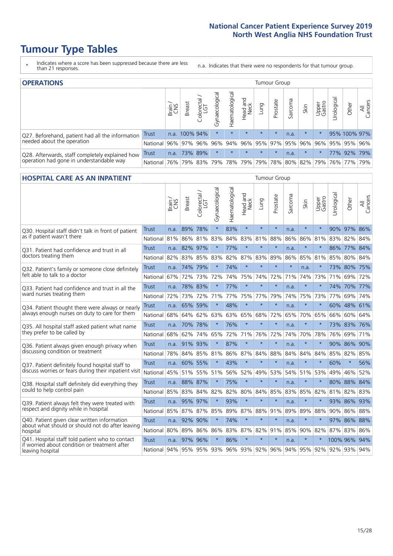### **Tumour Type Tables**

- \* Indicates where a score has been suppressed because there are less than 21 responses.
- n.a. Indicates that there were no respondents for that tumour group.

| <b>OPERATIONS</b>                                |              |       |               |                   |                |                |                  |                     | Tumour Group |         |         |                 |            |                                         |                |
|--------------------------------------------------|--------------|-------|---------------|-------------------|----------------|----------------|------------------|---------------------|--------------|---------|---------|-----------------|------------|-----------------------------------------|----------------|
|                                                  |              | Brain | <b>Breast</b> | Colorectal<br>LGT | Gynaecological | Haematological | Head and<br>Neck | <b>Dung</b>         | Prostate     | Sarcoma | Skin    | Upper<br>Gastro | Urological | Other                                   | All<br>Cancers |
| Q27. Beforehand, patient had all the information | <b>Trust</b> |       | n.a. 100% 94% |                   | $\star$        | $\star$        | $\star$          | $\star$             | $\star$      | n.a.    | $\star$ |                 |            | 95% 100% 97%                            |                |
| needed about the operation                       | National     | 96%   | 97%           | 96%               |                |                |                  | 96% 94% 96% 95% 97% |              |         | 95% 96% | 96%             |            | 95% 95% 96%                             |                |
| Q28. Afterwards, staff completely explained how  | <b>Trust</b> | n.a.  |               | 73% 89%           | $\star$        | $\star$        | $\star$          | $\star$             | $\star$      | n.a.    | $\star$ |                 |            | 77% 92% 79%                             |                |
| operation had gone in understandable way         | National I   | 76%   |               | 79% 83%           |                |                |                  |                     |              |         |         |                 |            | 79% 78% 79% 79% 78% 80% 82% 79% 76% 77% | 79%            |

#### **HOSPITAL CARE AS AN INPATIENT** Tumour Group

|                                                                                                  |                                          | Brain | Breast       | Colorectal /<br>LGT | Gynaecological | Haematological | Head and<br>Neck | Lung    | Prostate | Sarcoma | Skin    | Upper<br>Gastro | Urological              | Other       | Cancers<br>$\overline{\overline{z}}$ |
|--------------------------------------------------------------------------------------------------|------------------------------------------|-------|--------------|---------------------|----------------|----------------|------------------|---------|----------|---------|---------|-----------------|-------------------------|-------------|--------------------------------------|
| Q30. Hospital staff didn't talk in front of patient                                              | Trust                                    | n.a.  | 89%          | 78%                 | $\star$        | 83%            | $\star$          | $\star$ | $\star$  | n.a.    | $\star$ | $\star$         |                         | 90% 97%     | 86%                                  |
| as if patient wasn't there                                                                       | National                                 | 81%   | 86%          | 81%                 | 83%            | 84%            | 83%              | 81%     | 88%      | 86%     | 86%     | 81%             | 83%                     | 82%         | 84%                                  |
| O31. Patient had confidence and trust in all                                                     | Trust                                    | n.a.  | 82% 97%      |                     | $\star$        | 77%            | $\star$          | $\star$ | $\star$  | n.a.    | $\star$ |                 |                         | 86% 77%     | 84%                                  |
| doctors treating them                                                                            | National                                 | 82%   | 83%          | 85%                 | 83%            | 82%            |                  | 87% 83% | 89%      | 86%     | 85%     | 81%             | 85%                     | 80%         | 84%                                  |
| Q32. Patient's family or someone close definitely                                                | <b>Trust</b>                             | n.a.  | 74%          | 79%                 |                | 74%            | $\star$          | $\star$ | $\star$  | $\star$ | n.a.    |                 |                         | 73% 80% 75% |                                      |
| felt able to talk to a doctor                                                                    | National                                 | 67%   | 72%          | 73%                 | 72%            | 74%            | 75%              | 74%     | 72%      | 71%     | 74%     | 73%             | 71%                     | 69%         | 72%                                  |
| Q33. Patient had confidence and trust in all the                                                 | <b>Trust</b>                             | n.a.  | 78% 83%      |                     |                | 77%            | $\star$          | $\star$ | $\star$  | n.a.    | $\ast$  |                 |                         | 74% 70%     | 77%                                  |
| ward nurses treating them                                                                        | National                                 | 72%   | 73%          | 72%                 |                | 71% 77%        |                  | 75% 77% | 79%      | 74%     | 75%     | 73%             | 77%                     | 69%         | 74%                                  |
| Q34. Patient thought there were always or nearly                                                 | <b>Trust</b>                             | n.a.  | 65%          | 59%                 | $\star$        | 48%            | $\star$          | $\star$ | $\star$  | n.a.    | $\star$ | $\star$         |                         | 60% 48%     | 61%                                  |
| always enough nurses on duty to care for them                                                    | National                                 | 68%   | 64%          | 62%                 | 63%            | 63%            |                  | 65% 68% | 72%      | 65%     |         | 70% 65%         | 66%                     | 60% 64%     |                                      |
| Q35. All hospital staff asked patient what name                                                  | Trust                                    | n.a.  | 70% 78%      |                     | $\star$        | 76%            | $\star$          | $\star$ | $\star$  | n.a.    | $\ast$  |                 |                         | 73% 83%     | 76%                                  |
| they prefer to be called by                                                                      | National                                 | 68%   | 62%          | 74%                 | 65%            | 72%            | 71%              | 76%     | 72%      | 74%     | 70%     | 78%             | 76%                     | 69%         | 71%                                  |
| Q36. Patient always given enough privacy when                                                    | <b>Trust</b>                             | n.a.  | 91% 93%      |                     |                | 87%            | $\star$          | $\star$ | $\star$  | n.a.    | $\star$ |                 |                         | 90% 86%     | 90%                                  |
| discussing condition or treatment                                                                | National                                 | 78%   |              | 84% 85%             | 81%            | 86%            |                  | 87% 84% | 88%      | 84%     | 84%     | 84%             | 85%                     | 82% 85%     |                                      |
| Q37. Patient definitely found hospital staff to                                                  | <b>Trust</b>                             | n.a.  | 60% 55%      |                     |                | 43%            | $\star$          | $\star$ | $\star$  | n.a.    | $\star$ |                 | 60%                     | $\star$     | 56%                                  |
| discuss worries or fears during their inpatient visit                                            | National                                 | 45%   |              | 51% 55%             | 51%            | 56%            | 52%              | 49%     | 53%      | 54%     | 51%     | 53%             | 49%                     | 46%         | 52%                                  |
| Q38. Hospital staff definitely did everything they                                               | <b>Trust</b>                             |       | n.a. 88% 87% |                     | $\star$        | 75%            | $\star$          | $\star$ | $\star$  | n.a.    | $\star$ |                 |                         | 80% 88%     | 84%                                  |
| could to help control pain                                                                       | National                                 | 85%   | 83%          | 84%                 | 82%            | 82%            |                  | 80% 84% | 85%      | 83%     | 85% 82% |                 |                         | 81% 82% 83% |                                      |
| Q39. Patient always felt they were treated with                                                  | <b>Trust</b>                             | n.a.  | 95% 97%      |                     | $\star$        | 93%            | $\star$          | $\star$ | $\star$  | n.a.    | $\star$ |                 |                         | 93% 86%     | 93%                                  |
| respect and dignity while in hospital                                                            | National                                 | 85%   | 87%          | 87%                 | 85%            | 89%            | 87%              | 88%     | 91%      | 89%     | 89%     | 88%             | 90%                     | 86%         | 88%                                  |
| Q40. Patient given clear written information<br>about what should or should not do after leaving | <b>Trust</b>                             | n.a.  | 92%          | 90%                 |                | 74%            | $\star$          | $\star$ | $\star$  | n.a.    | $\star$ |                 |                         | 97% 86% 88% |                                      |
| hospital                                                                                         | National                                 | 80%   | 89%          | 86%                 | 86%            | 83%            |                  | 87% 82% | 91%      | 85%     | 90% 82% |                 |                         | 87% 83% 86% |                                      |
| Q41. Hospital staff told patient who to contact<br>if worried about condition or treatment after | <b>Trust</b>                             | n.a.  | 97% 96%      |                     | $\star$        | 86%            | $\star$          | $\star$ | $\star$  | n.a.    | $\star$ |                 | 100% 96%                |             | 94%                                  |
| leaving hospital                                                                                 | National 94% 95% 95% 93% 96% 93% 92% 96% |       |              |                     |                |                |                  |         |          |         |         |                 | 94% 95% 92% 92% 93% 94% |             |                                      |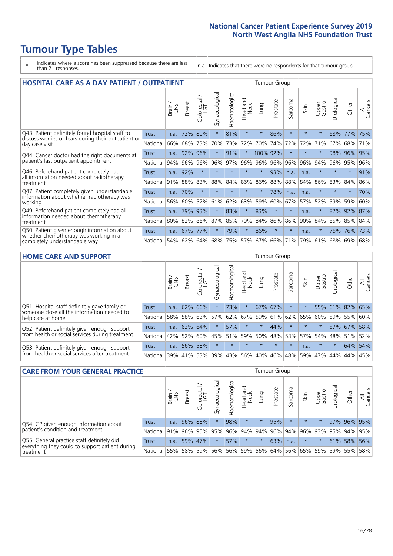### **Tumour Type Tables**

- \* Indicates where a score has been suppressed because there are less than 21 responses.
- n.a. Indicates that there were no respondents for that tumour group.

| <b>HOSPITAL CARE AS A DAY PATIENT / OUTPATIENT</b>                                                                    |              |       |               |                                   |                |                |                         |          | <b>Tumour Group</b> |         |         |                 |            |         |                |  |  |  |  |  |  |  |  |
|-----------------------------------------------------------------------------------------------------------------------|--------------|-------|---------------|-----------------------------------|----------------|----------------|-------------------------|----------|---------------------|---------|---------|-----------------|------------|---------|----------------|--|--|--|--|--|--|--|--|
|                                                                                                                       |              | Brain | <b>Breast</b> | ╮<br>olorectal /<br>LGT<br>$\cup$ | Gynaecological | Haematological | ead and<br>Neck<br>Head | Lung     | Prostate            | Sarcoma | Skin    | Upper<br>Gastro | Urological | Other   | All<br>Cancers |  |  |  |  |  |  |  |  |
| Q43. Patient definitely found hospital staff to                                                                       | Trust        | n.a.  | 72%           | 80%                               | $\star$        | 81%            | $\star$                 | $\star$  | 86%                 | $\star$ | $\star$ | $\star$         | 68%        | 77%     | 75%            |  |  |  |  |  |  |  |  |
| discuss worries or fears during their outpatient or<br>day case visit                                                 | National     | 66%   | 68%           | 73%                               | 70%            | 73%            | 72%                     | 70%      | 74%                 | 72%     | 72%     | 71%             | 67%        | 68%     | 71%            |  |  |  |  |  |  |  |  |
| Q44. Cancer doctor had the right documents at<br>patient's last outpatient appointment                                | Trust        | n.a.  | 92%           | 96%                               |                | 91%            | $\star$                 | 100% 92% |                     | $\ast$  |         | $\star$         | 98%        | 96%     | 95%            |  |  |  |  |  |  |  |  |
|                                                                                                                       | National     | 94%   | 96%           | 96%                               | 96%            | 97%            | 96%                     | 96%      | 96%                 | 96%     | 96%     | 94%             | 96%        | 95%     | 96%            |  |  |  |  |  |  |  |  |
| Q46. Beforehand patient completely had                                                                                | Trust        | n.a.  | 92%           | $\star$                           | $\star$        | $\star$        | $\star$                 | $\star$  | 93%                 | n.a.    | n.a.    | $\star$         | $\star$    | $\star$ | 91%            |  |  |  |  |  |  |  |  |
| all information needed about radiotherapy<br>treatment                                                                | National     | 91%   | 88%           | 83%                               | 88%            | 84%            | 86%                     | 86%      | 88%                 | 88%     | 84%     | 86%             | 83%        | 84%     | 86%            |  |  |  |  |  |  |  |  |
| Q47. Patient completely given understandable                                                                          | Trust        | n.a.  | 70%           | $\star$                           |                |                | $\star$                 | $^\star$ | 78%                 | n.a.    | n.a.    | $\star$         | $\star$    | $\ast$  | 70%            |  |  |  |  |  |  |  |  |
| information about whether radiotherapy was<br>working                                                                 | National     | 56%   | 60%           | 57%                               | 61%            | 62%            | 63%                     | 59%      | 60%                 | 67%     | 57%     | 52%             | 59%        | 59%     | 60%            |  |  |  |  |  |  |  |  |
| Q49. Beforehand patient completely had all                                                                            | <b>Trust</b> | n.a.  | 79%           | 93%                               | $^\star$       | 83%            | $\star$                 | 83%      | $\star$             | $\star$ | n.a.    | $\star$         | 82%        | 92%     | 87%            |  |  |  |  |  |  |  |  |
| information needed about chemotherapy<br>treatment                                                                    | National     | 80%   | 82%           | 86%                               | 87%            | 85%            | 79%                     | 84%      | 86%                 | 86%     | 90%     | 84%             | 85%        | 85%     | 84%            |  |  |  |  |  |  |  |  |
| Q50. Patient given enough information about<br>whether chemotherapy was working in a<br>completely understandable way | Trust        | n.a.  | 67%           | 77%                               | $\star$        | 79%            | $\star$                 | 86%      | $\star$             | $\star$ | n.a.    |                 | 76%        | 76%     | 73%            |  |  |  |  |  |  |  |  |
|                                                                                                                       | National     | 54%   |               | 62% 64%                           | 68%            | 75%            |                         | 57% 67%  | 66%                 | 71%     | 79%     | 61%             |            | 68% 69% | 68%            |  |  |  |  |  |  |  |  |

#### **HOME CARE AND SUPPORT** Tumour Group

|                                                                                                                   |              | Brain | <b>Breast</b> | olorectal<br>LGT<br>Ü | त्त<br>Gynaecologic | Haematological | Head and<br>Neck | Lung    | Prostate | Sarcoma  | Skin    | Upper<br>Gastro | Urological | Other       | All<br>Cancers |
|-------------------------------------------------------------------------------------------------------------------|--------------|-------|---------------|-----------------------|---------------------|----------------|------------------|---------|----------|----------|---------|-----------------|------------|-------------|----------------|
| Q51. Hospital staff definitely gave family or<br>someone close all the information needed to<br>help care at home | <b>Trust</b> | n.a.  | 62% 66%       |                       |                     | 73%            | $\star$          |         | 67% 67%  | $^\star$ |         | 55%             |            | 61% 82% 65% |                |
|                                                                                                                   | National     | 58%   | 58%           | 63%                   | 57%                 | 62% 67%        |                  |         | 59% 61%  |          | 62% 65% | 60%             |            | 59% 55% 60% |                |
| Q52. Patient definitely given enough support<br>from health or social services during treatment                   | Trust        | n.a.  | 63% 64%       |                       | $\star$             | 57%            | $\star$          | $\star$ | 44%      | $\star$  | $\star$ | $\star$         |            | 57% 67%     | 58%            |
|                                                                                                                   | National     | 42%   | 52%           | 60%                   |                     | 45% 51%        | 59%              |         | 50% 48%  |          | 53% 57% |                 |            | 54% 48% 51% | 52%            |
| Q53. Patient definitely given enough support<br>from health or social services after treatment                    | Trust        | n.a.  | 56%           | 58%                   | $\star$             | $\star$        | $\star$          | $\star$ | $\star$  | $\star$  | n.a.    | $\star$         | $\star$    | 64%         | 54%            |
|                                                                                                                   | National     | 39%   | 41% 53%       |                       | 39%                 | $ 43\% $       | 56%              | 40%     | 46%      | 48%      | 59%     | 47%             | 44%        | 44%         | 45%            |

| <b>CARE FROM YOUR GENERAL PRACTICE</b>                                                                     |              |        |               |                   |                |                |                  |         | Tumour Group                            |         |         |                 |           |             |                |  |  |  |  |
|------------------------------------------------------------------------------------------------------------|--------------|--------|---------------|-------------------|----------------|----------------|------------------|---------|-----------------------------------------|---------|---------|-----------------|-----------|-------------|----------------|--|--|--|--|
|                                                                                                            |              | Brain, | <b>Breast</b> | Colorectal<br>LGT | Gynaecological | Haematological | Head and<br>Neck | Lung    | Prostate                                | Sarcoma | Skin    | Upper<br>Gastro | Urologica | Other       | All<br>Cancers |  |  |  |  |
| Q54. GP given enough information about<br>patient's condition and treatment                                | Trust        | n.a.   |               | 96% 88%           | $\star$        | 98%            | $\star$          | $\star$ | 95%                                     | $\star$ | $\star$ | $\star$         |           | 97% 96% 95% |                |  |  |  |  |
|                                                                                                            | National 91% |        |               | 96% 95%           | 95%            |                |                  |         | 96% 94% 94% 96% 94% 96% 93% 95% 94% 95% |         |         |                 |           |             |                |  |  |  |  |
| Q55. General practice staff definitely did<br>everything they could to support patient during<br>treatment | Trust        | n.a.   |               | 59% 47%           | $\star$        | 57%            | $\star$          | $\star$ | 63%                                     | n.a.    | $\star$ | $\star$         |           | 61% 58% 56% |                |  |  |  |  |
|                                                                                                            | National     | 55%    |               | 58% 59%           | 56%            |                | 56% 59%          |         | 56% 64% 56% 65% 59% 59% 55%             |         |         |                 |           |             | 58%            |  |  |  |  |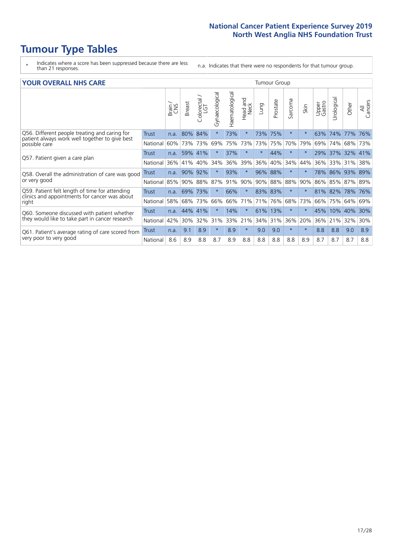### **Tumour Type Tables**

- \* Indicates where a score has been suppressed because there are less than 21 responses.
- n.a. Indicates that there were no respondents for that tumour group.

#### **YOUR OVERALL NHS CARE** THE TWO CONTROLLER THE THE THROUP CHANGE THE TUMOUR GROUP

|                                                                                                 |              | Brain<br>CNS | <b>Breast</b> | Colorectal<br>LGT | Gynaecological | Haematological | aad and<br>Neck<br>Head | Lung    | Prostate | arcoma<br>$\sqrt{ }$ | Skin     | Upper<br>Gastro | $\overline{c}$<br>Urologia | Other           | All<br>Cancers |  |  |  |  |
|-------------------------------------------------------------------------------------------------|--------------|--------------|---------------|-------------------|----------------|----------------|-------------------------|---------|----------|----------------------|----------|-----------------|----------------------------|-----------------|----------------|--|--|--|--|
| Q56. Different people treating and caring for<br>patient always work well together to give best | <b>Trust</b> | n.a.         | 80%           | 84%               |                | 73%            | $^\star$                | 73%     | 75%      | $\star$              | $\star$  | 63%             | 74%                        | 77%             | 76%            |  |  |  |  |
| possible care                                                                                   | National     | 60%          |               | 73% 73%           | 69%            | 75%            | 73%                     | 73%     | 75%      | 70%                  | 79%      | 69%             | 74%                        | 68%             | 73%            |  |  |  |  |
| Q57. Patient given a care plan                                                                  | <b>Trust</b> | n.a.         |               | 59% 41%           |                | 37%            | $\star$                 | $\star$ | 44%      | $\star$              | $\ast$   | 29%             | 37%                        | 32% 41%         |                |  |  |  |  |
|                                                                                                 | National     | 36%          | 41%           | 40%               | 34%            | 36%            | 39%                     | 36%     | 40%      | 34%                  | 44%      | 36%             | 33%                        | 31%             | 38%            |  |  |  |  |
| Q58. Overall the administration of care was good                                                | <b>Trust</b> | n.a.         | 90%           | 92%               |                | 93%            | $\star$                 | 96% 88% |          | $\star$              | $\star$  |                 | 78% 86%                    | 93% 89%         |                |  |  |  |  |
| or very good                                                                                    | National     |              | 85% 90% 88%   |                   | 87%            | 91%            | 90%                     |         | 90% 88%  | 88%                  | 90%      |                 |                            | 86% 85% 87% 89% |                |  |  |  |  |
| Q59. Patient felt length of time for attending                                                  | <b>Trust</b> | n.a.         | 69%           | 73%               |                | 66%            | $\star$                 | 83% 83% |          | $\star$              | $\star$  | 81% 82%         |                            | 78% 76%         |                |  |  |  |  |
| clinics and appointments for cancer was about<br>right                                          | National     | 58%          |               | 68% 73%           | 66%            | 66%            | 71%                     | 71%     | 76%      | 68%                  | 73%      | 66%             | 75%                        | 64%             | 69%            |  |  |  |  |
| Q60. Someone discussed with patient whether                                                     | Trust        | n.a.         | 44% 41%       |                   |                | 14%            | $\star$                 | 61%     | 13%      | $\star$              | $^\star$ | 45%             | 10%                        | 40%             | 30%            |  |  |  |  |
| they would like to take part in cancer research                                                 | National     | 42%          | $30\%$        | 32%               | 31%            | 33%            | 21%                     |         | 34% 31%  | 36%                  | 20%      | 36%             | 21%                        | 32%             | 30%            |  |  |  |  |
| Q61. Patient's average rating of care scored from<br>very poor to very good                     | Trust        | n.a.         | 9.1           | 8.9               | $\star$        | 8.9            | $\star$                 | 9.0     | 9.0      | $\star$              | $\star$  | 8.8             | 8.8                        | 9.0             | 8.9            |  |  |  |  |
|                                                                                                 | National     | 8.6          | 8.9           | 8.8               | 8.7            | 8.9            | 8.8                     | 8.8     | 8.8      | 8.8                  | 8.9      | 8.7             | 8.7                        | 8.7             | 8.8            |  |  |  |  |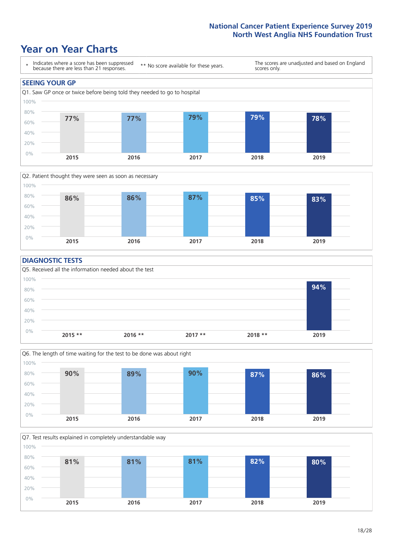### **Year on Year Charts**





#### **DIAGNOSTIC TESTS**





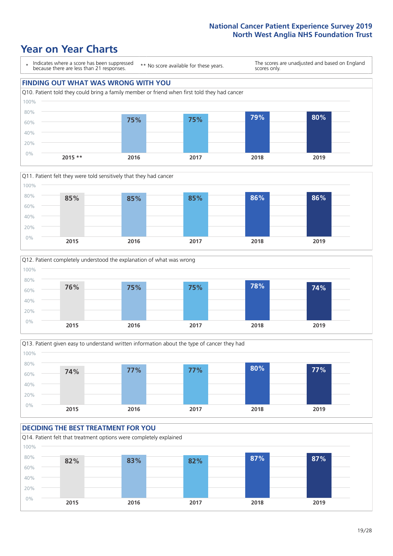







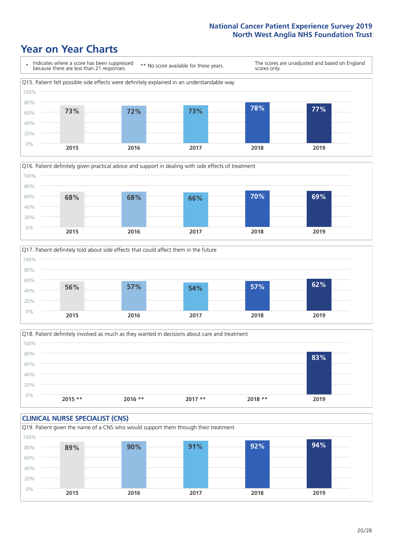







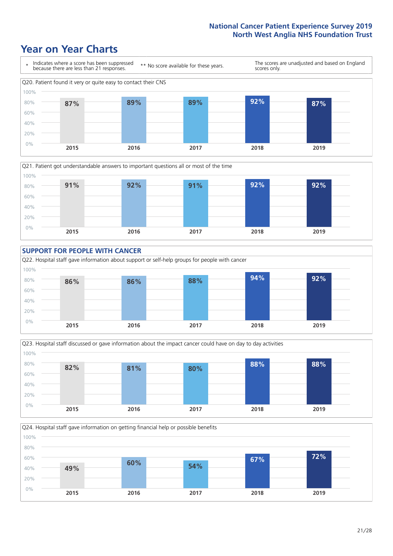







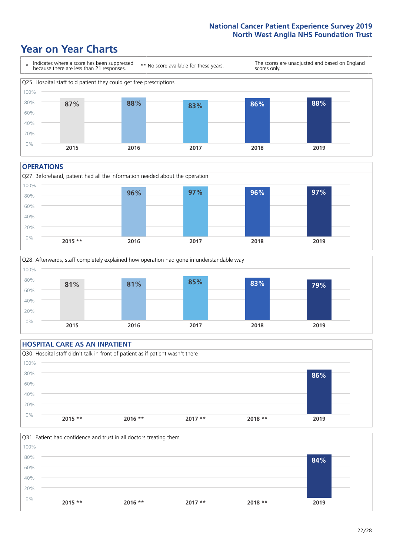### **Year on Year Charts**



#### **OPERATIONS**

Q27. Beforehand, patient had all the information needed about the operation  $0%$ 20% 40% 60% 80% 100% **2015 \*\* 2016 2017 2018 2019 96% 97% 96% 97%**



### **HOSPITAL CARE AS AN INPATIENT** Q30. Hospital staff didn't talk in front of patient as if patient wasn't there 0% 20% 40% 60% 80% 100% **2015 \*\* 2016 \*\* 2017 \*\* 2018 \*\* 2019 86%**

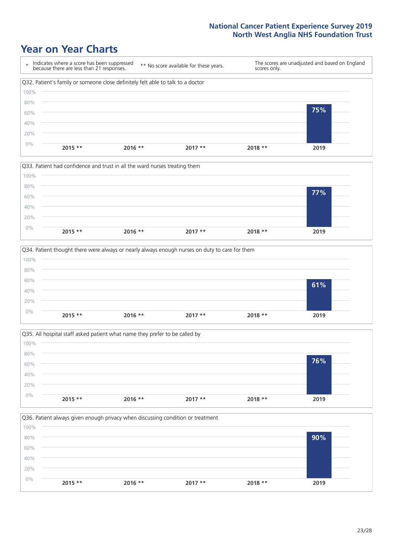







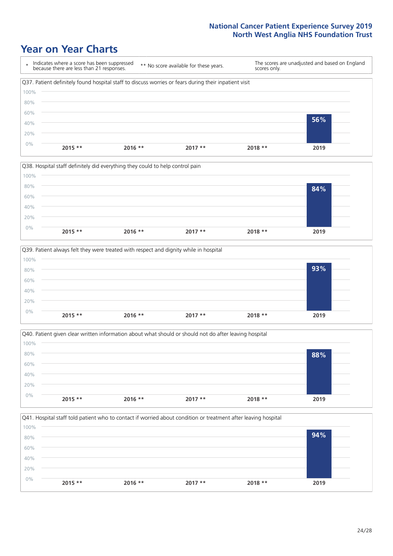







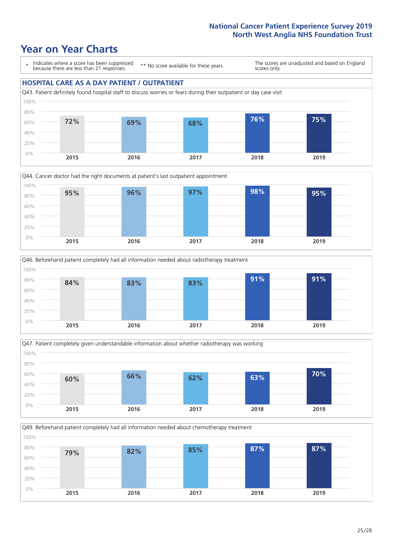







Q49. Beforehand patient completely had all information needed about chemotherapy treatment 100%

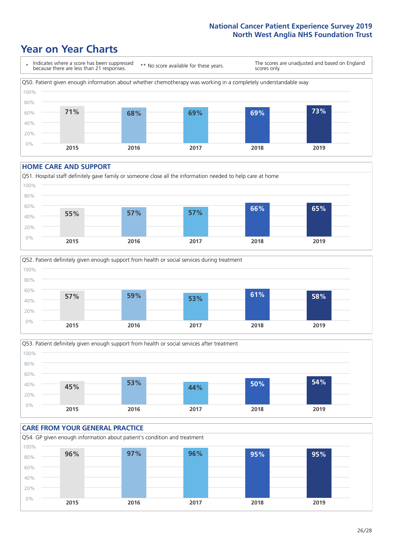### **Year on Year Charts**



#### **HOME CARE AND SUPPORT**







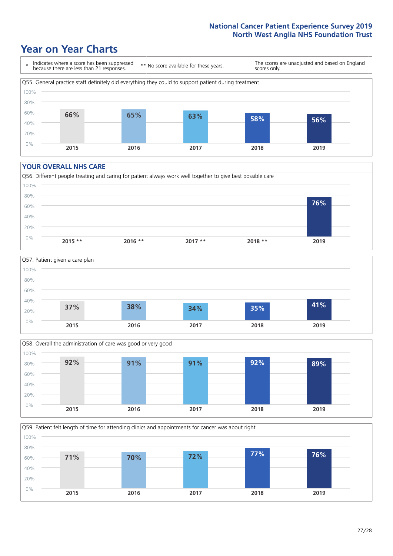### **Year on Year Charts**



#### **YOUR OVERALL NHS CARE**







Q59. Patient felt length of time for attending clinics and appointments for cancer was about right 0% 20% 40% 60% 80% 100% **2015 2016 2017 2018 2019 71% 70% 72% 77% 76%**